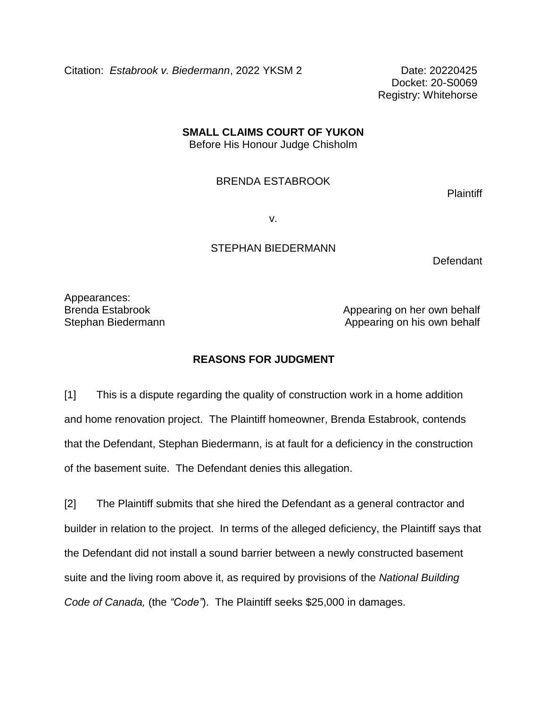Citation: Estabrook v. Biedermann, 2022 YKSM 2 Date: 20220425

Docket: 20-S0069 Registry: Whitehorse

# **SMALL CLAIMS COURT OF YUKON**

Before His Honour Judge Chisholm

#### BRENDA ESTABROOK

**Plaintiff** 

v.

## STEPHAN BIEDERMANN

**Defendant** 

Appearances:

Brenda Estabrook **Appearing on her own behalf** Stephan Biedermann **Appearing on his own behalf** 

## **REASONS FOR JUDGMENT**

[1] This is a dispute regarding the quality of construction work in a home addition and home renovation project. The Plaintiff homeowner, Brenda Estabrook, contends that the Defendant, Stephan Biedermann, is at fault for a deficiency in the construction of the basement suite. The Defendant denies this allegation.

[2] The Plaintiff submits that she hired the Defendant as a general contractor and builder in relation to the project. In terms of the alleged deficiency, the Plaintiff says that the Defendant did not install a sound barrier between a newly constructed basement suite and the living room above it, as required by provisions of the *National Building Code of Canada,* (the *"Code"*). The Plaintiff seeks \$25,000 in damages.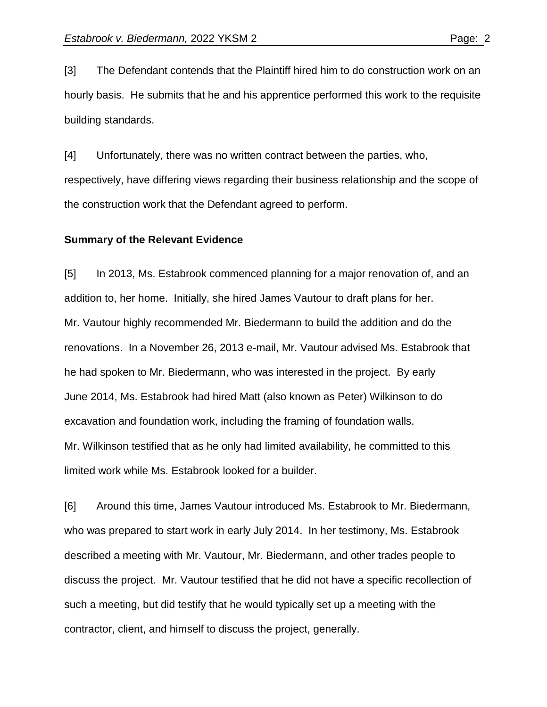[3] The Defendant contends that the Plaintiff hired him to do construction work on an hourly basis. He submits that he and his apprentice performed this work to the requisite building standards.

[4] Unfortunately, there was no written contract between the parties, who, respectively, have differing views regarding their business relationship and the scope of the construction work that the Defendant agreed to perform.

#### **Summary of the Relevant Evidence**

[5] In 2013, Ms. Estabrook commenced planning for a major renovation of, and an addition to, her home. Initially, she hired James Vautour to draft plans for her. Mr. Vautour highly recommended Mr. Biedermann to build the addition and do the renovations. In a November 26, 2013 e-mail, Mr. Vautour advised Ms. Estabrook that he had spoken to Mr. Biedermann, who was interested in the project. By early June 2014, Ms. Estabrook had hired Matt (also known as Peter) Wilkinson to do excavation and foundation work, including the framing of foundation walls. Mr. Wilkinson testified that as he only had limited availability, he committed to this limited work while Ms. Estabrook looked for a builder.

[6] Around this time, James Vautour introduced Ms. Estabrook to Mr. Biedermann, who was prepared to start work in early July 2014. In her testimony, Ms. Estabrook described a meeting with Mr. Vautour, Mr. Biedermann, and other trades people to discuss the project. Mr. Vautour testified that he did not have a specific recollection of such a meeting, but did testify that he would typically set up a meeting with the contractor, client, and himself to discuss the project, generally.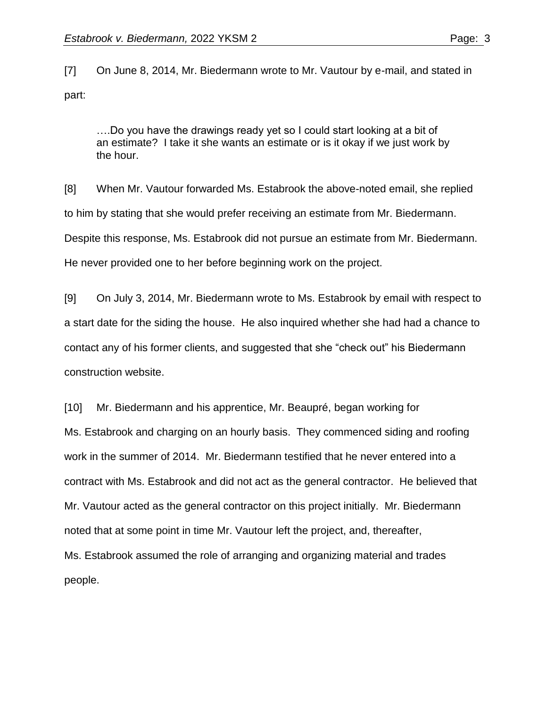[7] On June 8, 2014, Mr. Biedermann wrote to Mr. Vautour by e-mail, and stated in part:

….Do you have the drawings ready yet so I could start looking at a bit of an estimate? I take it she wants an estimate or is it okay if we just work by the hour.

[8] When Mr. Vautour forwarded Ms. Estabrook the above-noted email, she replied to him by stating that she would prefer receiving an estimate from Mr. Biedermann. Despite this response, Ms. Estabrook did not pursue an estimate from Mr. Biedermann. He never provided one to her before beginning work on the project.

[9] On July 3, 2014, Mr. Biedermann wrote to Ms. Estabrook by email with respect to a start date for the siding the house. He also inquired whether she had had a chance to contact any of his former clients, and suggested that she "check out" his Biedermann construction website.

[10] Mr. Biedermann and his apprentice, Mr. Beaupré, began working for Ms. Estabrook and charging on an hourly basis. They commenced siding and roofing work in the summer of 2014. Mr. Biedermann testified that he never entered into a contract with Ms. Estabrook and did not act as the general contractor. He believed that Mr. Vautour acted as the general contractor on this project initially. Mr. Biedermann noted that at some point in time Mr. Vautour left the project, and, thereafter, Ms. Estabrook assumed the role of arranging and organizing material and trades people.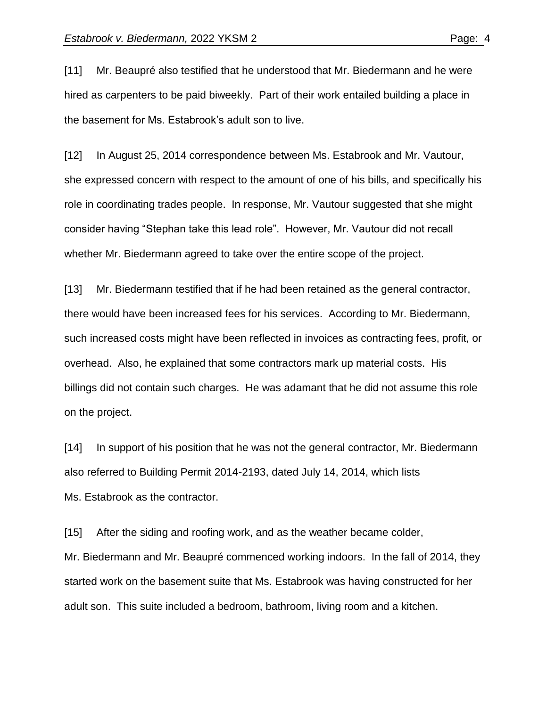[11] Mr. Beaupré also testified that he understood that Mr. Biedermann and he were hired as carpenters to be paid biweekly. Part of their work entailed building a place in the basement for Ms. Estabrook's adult son to live.

[12] In August 25, 2014 correspondence between Ms. Estabrook and Mr. Vautour, she expressed concern with respect to the amount of one of his bills, and specifically his role in coordinating trades people. In response, Mr. Vautour suggested that she might consider having "Stephan take this lead role". However, Mr. Vautour did not recall whether Mr. Biedermann agreed to take over the entire scope of the project.

[13] Mr. Biedermann testified that if he had been retained as the general contractor, there would have been increased fees for his services. According to Mr. Biedermann, such increased costs might have been reflected in invoices as contracting fees, profit, or overhead. Also, he explained that some contractors mark up material costs. His billings did not contain such charges. He was adamant that he did not assume this role on the project.

[14] In support of his position that he was not the general contractor, Mr. Biedermann also referred to Building Permit 2014-2193, dated July 14, 2014, which lists Ms. Estabrook as the contractor.

[15] After the siding and roofing work, and as the weather became colder, Mr. Biedermann and Mr. Beaupré commenced working indoors. In the fall of 2014, they started work on the basement suite that Ms. Estabrook was having constructed for her adult son. This suite included a bedroom, bathroom, living room and a kitchen.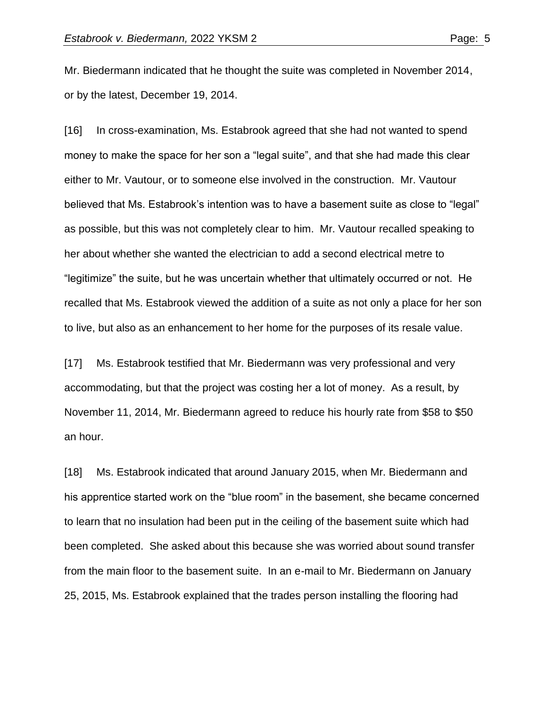Mr. Biedermann indicated that he thought the suite was completed in November 2014, or by the latest, December 19, 2014.

[16] In cross-examination, Ms. Estabrook agreed that she had not wanted to spend money to make the space for her son a "legal suite", and that she had made this clear either to Mr. Vautour, or to someone else involved in the construction. Mr. Vautour believed that Ms. Estabrook's intention was to have a basement suite as close to "legal" as possible, but this was not completely clear to him. Mr. Vautour recalled speaking to her about whether she wanted the electrician to add a second electrical metre to "legitimize" the suite, but he was uncertain whether that ultimately occurred or not. He recalled that Ms. Estabrook viewed the addition of a suite as not only a place for her son to live, but also as an enhancement to her home for the purposes of its resale value.

[17] Ms. Estabrook testified that Mr. Biedermann was very professional and very accommodating, but that the project was costing her a lot of money. As a result, by November 11, 2014, Mr. Biedermann agreed to reduce his hourly rate from \$58 to \$50 an hour.

[18] Ms. Estabrook indicated that around January 2015, when Mr. Biedermann and his apprentice started work on the "blue room" in the basement, she became concerned to learn that no insulation had been put in the ceiling of the basement suite which had been completed. She asked about this because she was worried about sound transfer from the main floor to the basement suite. In an e-mail to Mr. Biedermann on January 25, 2015, Ms. Estabrook explained that the trades person installing the flooring had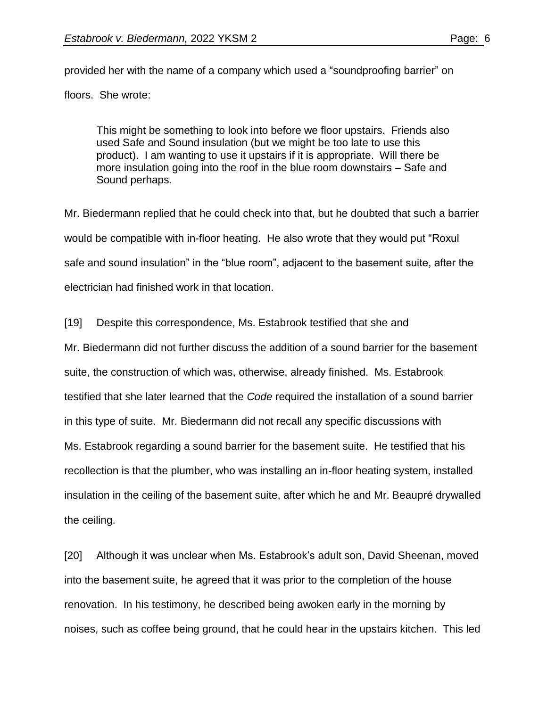provided her with the name of a company which used a "soundproofing barrier" on floors. She wrote:

This might be something to look into before we floor upstairs. Friends also used Safe and Sound insulation (but we might be too late to use this product). I am wanting to use it upstairs if it is appropriate. Will there be more insulation going into the roof in the blue room downstairs – Safe and Sound perhaps.

Mr. Biedermann replied that he could check into that, but he doubted that such a barrier would be compatible with in-floor heating. He also wrote that they would put "Roxul safe and sound insulation" in the "blue room", adjacent to the basement suite, after the electrician had finished work in that location.

[19] Despite this correspondence, Ms. Estabrook testified that she and

Mr. Biedermann did not further discuss the addition of a sound barrier for the basement suite, the construction of which was, otherwise, already finished. Ms. Estabrook testified that she later learned that the *Code* required the installation of a sound barrier in this type of suite. Mr. Biedermann did not recall any specific discussions with Ms. Estabrook regarding a sound barrier for the basement suite. He testified that his recollection is that the plumber, who was installing an in-floor heating system, installed insulation in the ceiling of the basement suite, after which he and Mr. Beaupré drywalled the ceiling.

[20] Although it was unclear when Ms. Estabrook's adult son, David Sheenan, moved into the basement suite, he agreed that it was prior to the completion of the house renovation. In his testimony, he described being awoken early in the morning by noises, such as coffee being ground, that he could hear in the upstairs kitchen. This led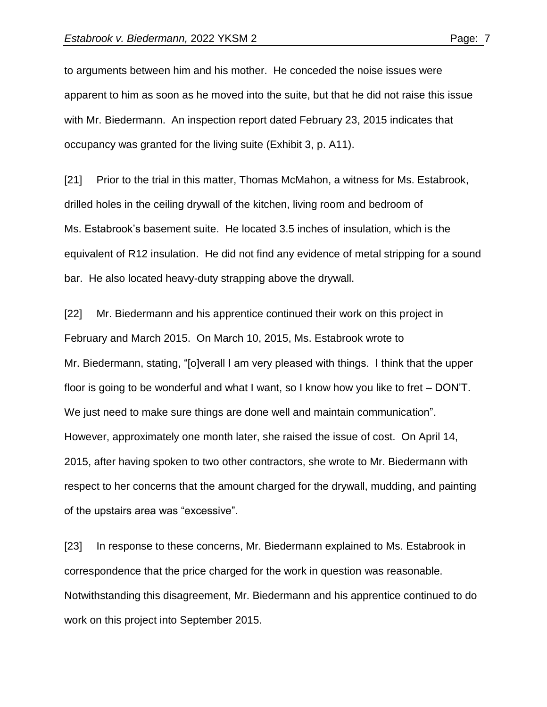to arguments between him and his mother. He conceded the noise issues were apparent to him as soon as he moved into the suite, but that he did not raise this issue with Mr. Biedermann. An inspection report dated February 23, 2015 indicates that occupancy was granted for the living suite (Exhibit 3, p. A11).

[21] Prior to the trial in this matter, Thomas McMahon, a witness for Ms. Estabrook, drilled holes in the ceiling drywall of the kitchen, living room and bedroom of Ms. Estabrook's basement suite. He located 3.5 inches of insulation, which is the equivalent of R12 insulation. He did not find any evidence of metal stripping for a sound bar. He also located heavy-duty strapping above the drywall.

[22] Mr. Biedermann and his apprentice continued their work on this project in February and March 2015. On March 10, 2015, Ms. Estabrook wrote to Mr. Biedermann, stating, "[o]verall I am very pleased with things. I think that the upper floor is going to be wonderful and what I want, so I know how you like to fret – DON'T. We just need to make sure things are done well and maintain communication". However, approximately one month later, she raised the issue of cost. On April 14, 2015, after having spoken to two other contractors, she wrote to Mr. Biedermann with respect to her concerns that the amount charged for the drywall, mudding, and painting of the upstairs area was "excessive".

[23] In response to these concerns, Mr. Biedermann explained to Ms. Estabrook in correspondence that the price charged for the work in question was reasonable. Notwithstanding this disagreement, Mr. Biedermann and his apprentice continued to do work on this project into September 2015.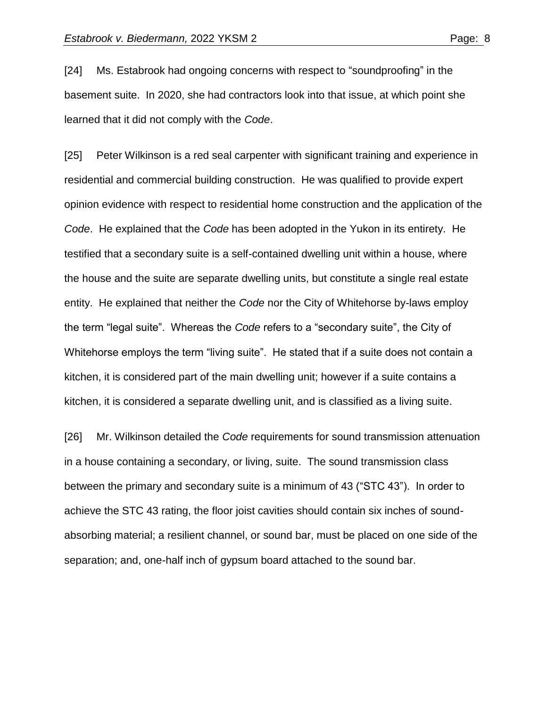[24] Ms. Estabrook had ongoing concerns with respect to "soundproofing" in the basement suite. In 2020, she had contractors look into that issue, at which point she learned that it did not comply with the *Code*.

[25] Peter Wilkinson is a red seal carpenter with significant training and experience in residential and commercial building construction. He was qualified to provide expert opinion evidence with respect to residential home construction and the application of the *Code*. He explained that the *Code* has been adopted in the Yukon in its entirety. He testified that a secondary suite is a self-contained dwelling unit within a house, where the house and the suite are separate dwelling units, but constitute a single real estate entity. He explained that neither the *Code* nor the City of Whitehorse by-laws employ the term "legal suite". Whereas the *Code* refers to a "secondary suite", the City of Whitehorse employs the term "living suite". He stated that if a suite does not contain a kitchen, it is considered part of the main dwelling unit; however if a suite contains a kitchen, it is considered a separate dwelling unit, and is classified as a living suite.

[26] Mr. Wilkinson detailed the *Code* requirements for sound transmission attenuation in a house containing a secondary, or living, suite. The sound transmission class between the primary and secondary suite is a minimum of 43 ("STC 43"). In order to achieve the STC 43 rating, the floor joist cavities should contain six inches of soundabsorbing material; a resilient channel, or sound bar, must be placed on one side of the separation; and, one-half inch of gypsum board attached to the sound bar.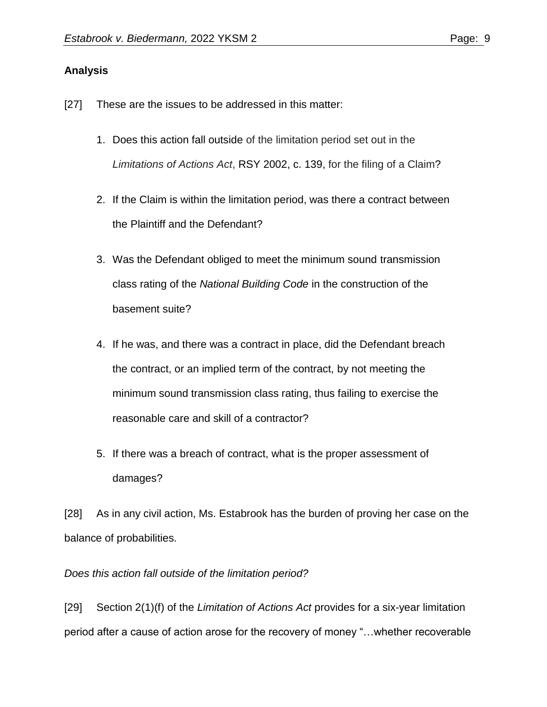## **Analysis**

- [27] These are the issues to be addressed in this matter:
	- 1. Does this action fall outside of the limitation period set out in the *Limitations of Actions Act*, RSY [2002,](https://advance.lexis.com/document/teaserdocument/?pdmfid=1505209&crid=73cca1e5-a667-44e1-8328-85954d89d50e&pddocfullpath=%2Fshared%2Fdocument%2Fcases-ca%2Furn%3AcontentItem%3A5XR8-3VY1-JWJ0-G4RW-00000-00&pdteaserkey=h1&pdicsfeatureid=1517129&pditab=allpods&pddocfullpath=%2Fshared%2Fdocument%2Fcases-ca%2Furn%3AcontentItem%3A5XR8-3VY1-JWJ0-G4RW-00000-00&ecomp=wbkyk&earg=sr6&prid=273e32d8-1a5e-4a7f-8212-002e704783ef) c. 139, for the filing of a Claim?
	- 2. If the Claim is within the limitation period, was there a contract between the Plaintiff and the Defendant?
	- 3. Was the Defendant obliged to meet the minimum sound transmission class rating of the *National Building Code* in the construction of the basement suite?
	- 4. If he was, and there was a contract in place, did the Defendant breach the contract, or an implied term of the contract, by not meeting the minimum sound transmission class rating, thus failing to exercise the reasonable care and skill of a contractor?
	- 5. If there was a breach of contract, what is the proper assessment of damages?

[28] As in any civil action, Ms. Estabrook has the burden of proving her case on the balance of probabilities.

## *Does this action fall outside of the limitation period?*

[29] Section 2(1)(f) of the *Limitation of Actions Act* provides for a six-year limitation period after a cause of action arose for the recovery of money "…whether recoverable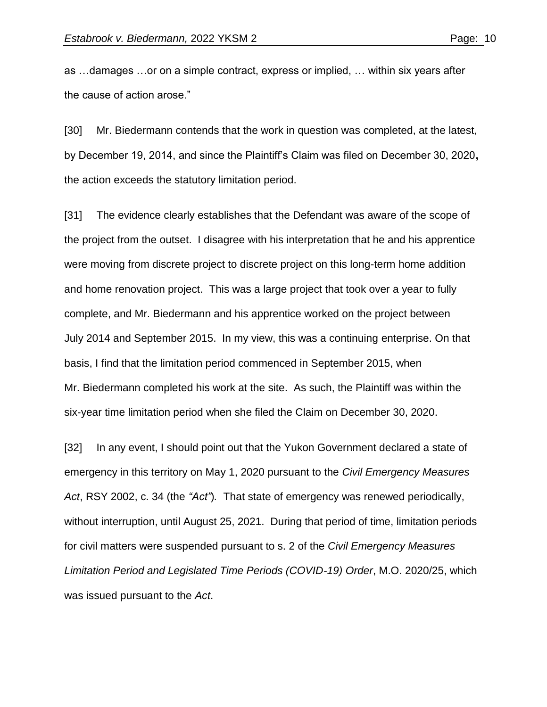as …damages …or on a simple contract, express or implied, … within six years after the cause of action arose."

[30] Mr. Biedermann contends that the work in question was completed, at the latest, by December 19, 2014, and since the Plaintiff's Claim was filed on December 30, 2020**,**  the action exceeds the statutory limitation period.

[31] The evidence clearly establishes that the Defendant was aware of the scope of the project from the outset. I disagree with his interpretation that he and his apprentice were moving from discrete project to discrete project on this long-term home addition and home renovation project. This was a large project that took over a year to fully complete, and Mr. Biedermann and his apprentice worked on the project between July 2014 and September 2015. In my view, this was a continuing enterprise. On that basis, I find that the limitation period commenced in September 2015, when Mr. Biedermann completed his work at the site. As such, the Plaintiff was within the six-year time limitation period when she filed the Claim on December 30, 2020.

[32] In any event, I should point out that the Yukon Government declared a state of emergency in this territory on May 1, 2020 pursuant to the *Civil Emergency Measures Act*, RSY 2002, c. 34 (the *"Act"*)*.* That state of emergency was renewed periodically, without interruption, until August 25, 2021. During that period of time, limitation periods for civil matters were suspended pursuant to s. 2 of the *Civil Emergency Measures Limitation Period and Legislated Time Periods (COVID-19) Order*, M.O. 2020/25, which was issued pursuant to the *Act*.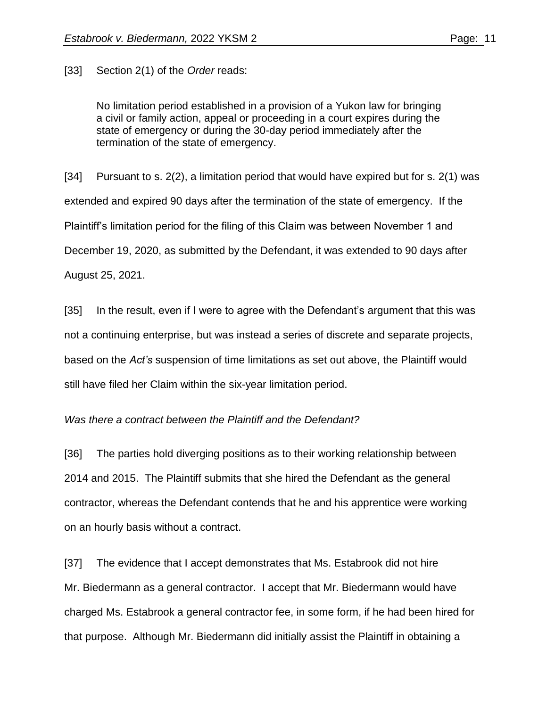[33] Section 2(1) of the *Order* reads:

No limitation period established in a provision of a Yukon law for bringing a civil or family action, appeal or proceeding in a court expires during the state of emergency or during the 30-day period immediately after the termination of the state of emergency.

[34] Pursuant to s.  $2(2)$ , a limitation period that would have expired but for s.  $2(1)$  was extended and expired 90 days after the termination of the state of emergency. If the Plaintiff's limitation period for the filing of this Claim was between November 1 and December 19, 2020, as submitted by the Defendant, it was extended to 90 days after August 25, 2021.

[35] In the result, even if I were to agree with the Defendant's argument that this was not a continuing enterprise, but was instead a series of discrete and separate projects, based on the *Act's* suspension of time limitations as set out above, the Plaintiff would still have filed her Claim within the six-year limitation period.

#### *Was there a contract between the Plaintiff and the Defendant?*

[36] The parties hold diverging positions as to their working relationship between 2014 and 2015. The Plaintiff submits that she hired the Defendant as the general contractor, whereas the Defendant contends that he and his apprentice were working on an hourly basis without a contract.

[37] The evidence that I accept demonstrates that Ms. Estabrook did not hire Mr. Biedermann as a general contractor. I accept that Mr. Biedermann would have charged Ms. Estabrook a general contractor fee, in some form, if he had been hired for that purpose. Although Mr. Biedermann did initially assist the Plaintiff in obtaining a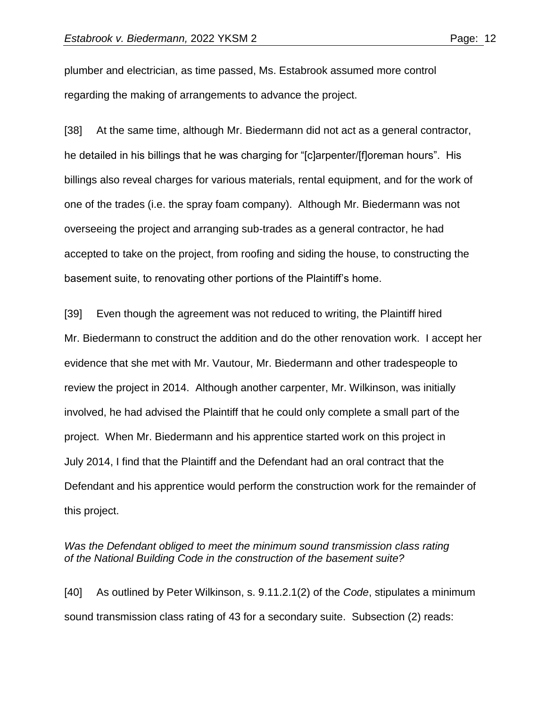plumber and electrician, as time passed, Ms. Estabrook assumed more control regarding the making of arrangements to advance the project.

[38] At the same time, although Mr. Biedermann did not act as a general contractor, he detailed in his billings that he was charging for "[c]arpenter/[f]oreman hours". His billings also reveal charges for various materials, rental equipment, and for the work of one of the trades (i.e. the spray foam company). Although Mr. Biedermann was not overseeing the project and arranging sub-trades as a general contractor, he had accepted to take on the project, from roofing and siding the house, to constructing the basement suite, to renovating other portions of the Plaintiff's home.

[39] Even though the agreement was not reduced to writing, the Plaintiff hired Mr. Biedermann to construct the addition and do the other renovation work. I accept her evidence that she met with Mr. Vautour, Mr. Biedermann and other tradespeople to review the project in 2014. Although another carpenter, Mr. Wilkinson, was initially involved, he had advised the Plaintiff that he could only complete a small part of the project. When Mr. Biedermann and his apprentice started work on this project in July 2014, I find that the Plaintiff and the Defendant had an oral contract that the Defendant and his apprentice would perform the construction work for the remainder of this project.

## Was the Defendant obliged to meet the minimum sound transmission class rating *of the National Building Code in the construction of the basement suite?*

[40] As outlined by Peter Wilkinson, s. 9.11.2.1(2) of the *Code*, stipulates a minimum sound transmission class rating of 43 for a secondary suite. Subsection (2) reads: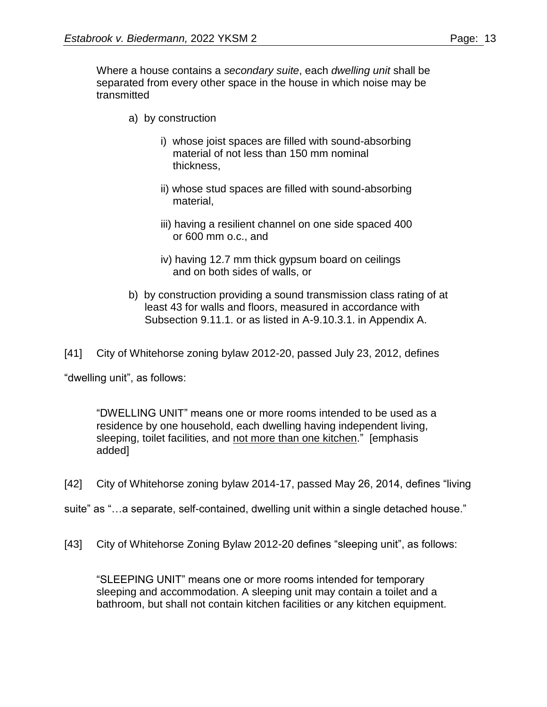Where a house contains a *secondary suite*, each *dwelling unit* shall be separated from every other space in the house in which noise may be transmitted

- a) by construction
	- i) whose joist spaces are filled with sound-absorbing material of not less than 150 mm nominal thickness,
	- ii) whose stud spaces are filled with sound-absorbing material,
	- iii) having a resilient channel on one side spaced 400 or 600 mm o.c., and
	- iv) having 12.7 mm thick gypsum board on ceilings and on both sides of walls, or
- b) by construction providing a sound transmission class rating of at least 43 for walls and floors, measured in accordance with Subsection 9.11.1. or as listed in A-9.10.3.1. in Appendix A.

[41] City of Whitehorse zoning bylaw 2012-20, passed July 23, 2012, defines

"dwelling unit", as follows:

"DWELLING UNIT" means one or more rooms intended to be used as a residence by one household, each dwelling having independent living, sleeping, toilet facilities, and not more than one kitchen." [emphasis added]

[42] City of Whitehorse zoning bylaw 2014-17, passed May 26, 2014, defines "living

- suite" as "…a separate, self-contained, dwelling unit within a single detached house."
- [43] City of Whitehorse Zoning Bylaw 2012-20 defines "sleeping unit", as follows:

"SLEEPING UNIT" means one or more rooms intended for temporary sleeping and accommodation. A sleeping unit may contain a toilet and a bathroom, but shall not contain kitchen facilities or any kitchen equipment.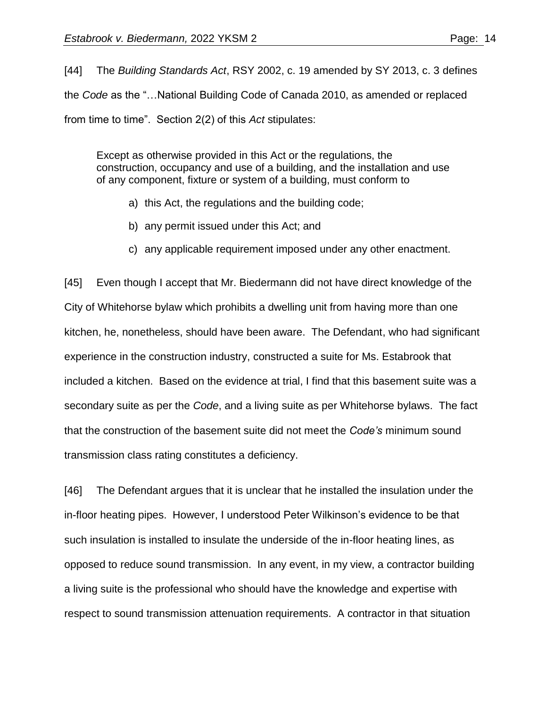[44] The *Building Standards Act*, RSY 2002, c. 19 amended by SY 2013, c. 3 defines the *Code* as the "…National Building Code of Canada 2010, as amended or replaced from time to time". Section 2(2) of this *Act* stipulates:

Except as otherwise provided in this Act or the regulations, the construction, occupancy and use of a building, and the installation and use of any component, fixture or system of a building, must conform to

- a) this Act, the regulations and the building code;
- b) any permit issued under this Act; and
- c) any applicable requirement imposed under any other enactment.

[45] Even though I accept that Mr. Biedermann did not have direct knowledge of the City of Whitehorse bylaw which prohibits a dwelling unit from having more than one kitchen, he, nonetheless, should have been aware. The Defendant, who had significant experience in the construction industry, constructed a suite for Ms. Estabrook that included a kitchen. Based on the evidence at trial, I find that this basement suite was a secondary suite as per the *Code*, and a living suite as per Whitehorse bylaws. The fact that the construction of the basement suite did not meet the *Code's* minimum sound transmission class rating constitutes a deficiency.

[46] The Defendant argues that it is unclear that he installed the insulation under the in-floor heating pipes. However, I understood Peter Wilkinson's evidence to be that such insulation is installed to insulate the underside of the in-floor heating lines, as opposed to reduce sound transmission. In any event, in my view, a contractor building a living suite is the professional who should have the knowledge and expertise with respect to sound transmission attenuation requirements. A contractor in that situation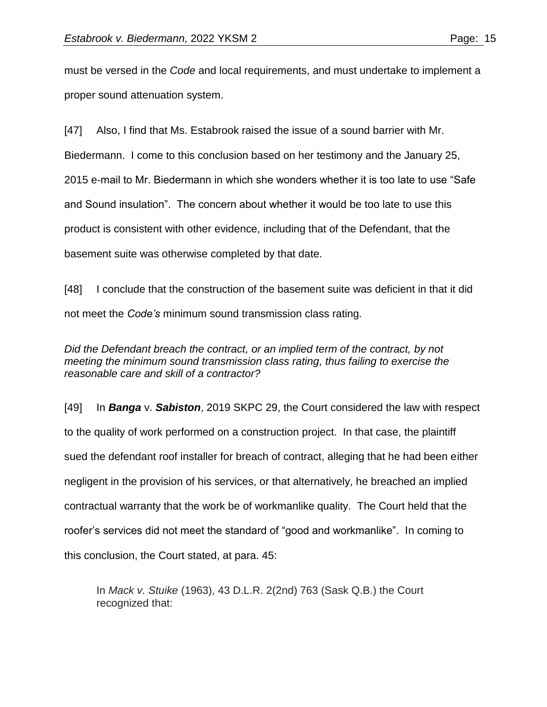must be versed in the *Code* and local requirements, and must undertake to implement a proper sound attenuation system.

[47] Also, I find that Ms. Estabrook raised the issue of a sound barrier with Mr. Biedermann. I come to this conclusion based on her testimony and the January 25, 2015 e-mail to Mr. Biedermann in which she wonders whether it is too late to use "Safe and Sound insulation". The concern about whether it would be too late to use this product is consistent with other evidence, including that of the Defendant, that the basement suite was otherwise completed by that date.

[48] I conclude that the construction of the basement suite was deficient in that it did not meet the *Code's* minimum sound transmission class rating.

*Did the Defendant breach the contract, or an implied term of the contract, by not meeting the minimum sound transmission class rating, thus failing to exercise the reasonable care and skill of a contractor?*

[49] In *Banga* v. *Sabiston*, 2019 SKPC 29, the Court considered the law with respect to the quality of work performed on a construction project. In that case, the plaintiff sued the defendant roof installer for breach of contract, alleging that he had been either negligent in the provision of his services, or that alternatively, he breached an implied contractual warranty that the work be of workmanlike quality. The Court held that the roofer's services did not meet the standard of "good and workmanlike". In coming to this conclusion, the Court stated, at para. 45:

In *Mack v. Stuike* (1963), 43 D.L.R. 2(2nd) 763 (Sask Q.B.) the Court recognized that: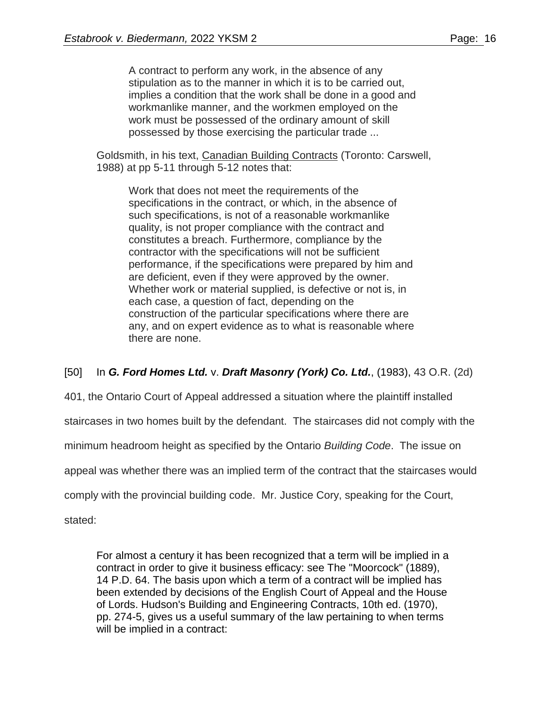A contract to perform any work, in the absence of any stipulation as to the manner in which it is to be carried out, implies a condition that the work shall be done in a good and workmanlike manner, and the workmen employed on the work must be possessed of the ordinary amount of skill possessed by those exercising the particular trade ...

Goldsmith, in his text, Canadian Building Contracts (Toronto: Carswell, 1988) at pp 5-11 through 5-12 notes that:

Work that does not meet the requirements of the specifications in the contract, or which, in the absence of such specifications, is not of a reasonable workmanlike quality, is not proper compliance with the contract and constitutes a breach. Furthermore, compliance by the contractor with the specifications will not be sufficient performance, if the specifications were prepared by him and are deficient, even if they were approved by the owner. Whether work or material supplied, is defective or not is, in each case, a question of fact, depending on the construction of the particular specifications where there are any, and on expert evidence as to what is reasonable where there are none.

[50] In *G. Ford Homes Ltd.* v. *Draft Masonry (York) Co. Ltd.*, (1983), 43 O.R. (2d)

401, the Ontario Court of Appeal addressed a situation where the plaintiff installed

staircases in two homes built by the defendant. The staircases did not comply with the

minimum headroom height as specified by the Ontario *Building Code*. The issue on

appeal was whether there was an implied term of the contract that the staircases would

comply with the provincial building code. Mr. Justice Cory, speaking for the Court,

stated:

For almost a century it has been recognized that a term will be implied in a contract in order to give it business efficacy: see The "Moorcock" (1889), 14 P.D. 64. The basis upon which a term of a contract will be implied has been extended by decisions of the English Court of Appeal and the House of Lords. Hudson's Building and Engineering Contracts, 10th ed. (1970), pp. 274-5, gives us a useful summary of the law pertaining to when terms will be implied in a contract: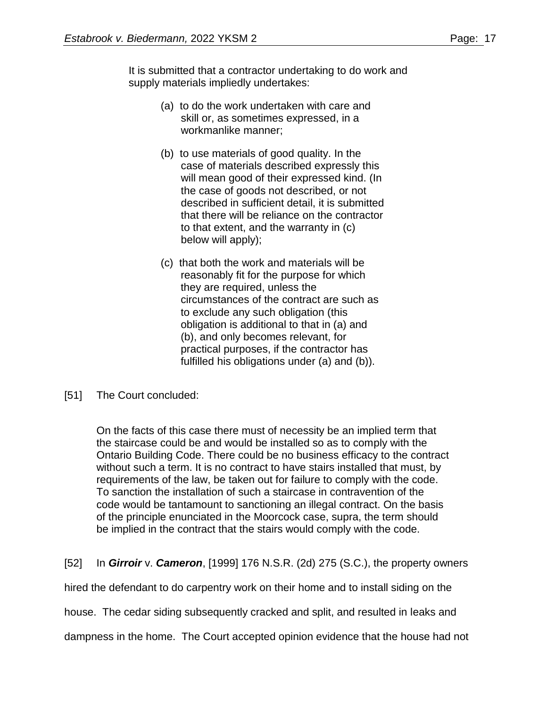It is submitted that a contractor undertaking to do work and supply materials impliedly undertakes:

- (a) to do the work undertaken with care and skill or, as sometimes expressed, in a workmanlike manner;
- (b) to use materials of good quality. In the case of materials described expressly this will mean good of their expressed kind. (In the case of goods not described, or not described in sufficient detail, it is submitted that there will be reliance on the contractor to that extent, and the warranty in (c) below will apply);
- (c) that both the work and materials will be reasonably fit for the purpose for which they are required, unless the circumstances of the contract are such as to exclude any such obligation (this obligation is additional to that in (a) and (b), and only becomes relevant, for practical purposes, if the contractor has fulfilled his obligations under (a) and (b)).
- [51] The Court concluded:

On the facts of this case there must of necessity be an implied term that the staircase could be and would be installed so as to comply with the Ontario Building Code. There could be no business efficacy to the contract without such a term. It is no contract to have stairs installed that must, by requirements of the law, be taken out for failure to comply with the code. To sanction the installation of such a staircase in contravention of the code would be tantamount to sanctioning an illegal contract. On the basis of the principle enunciated in the Moorcock case, supra, the term should be implied in the contract that the stairs would comply with the code.

[52] In *Girroir* v. *Cameron*, [1999] 176 N.S.R. (2d) 275 (S.C.), the property owners

hired the defendant to do carpentry work on their home and to install siding on the

house. The cedar siding subsequently cracked and split, and resulted in leaks and

dampness in the home. The Court accepted opinion evidence that the house had not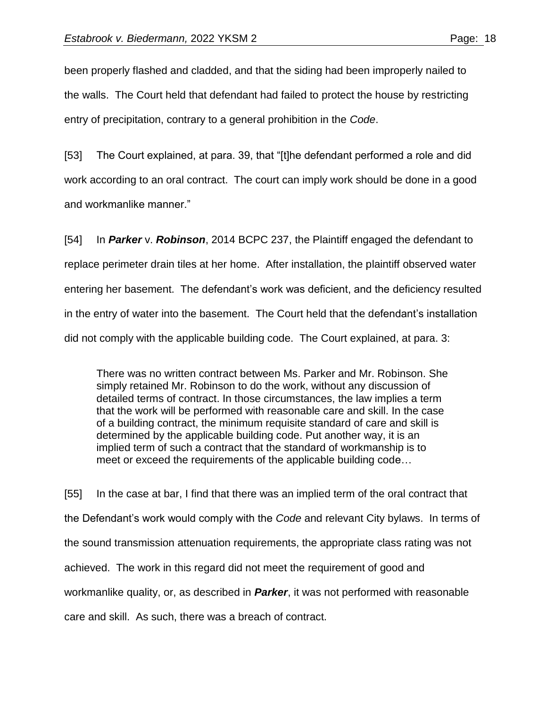been properly flashed and cladded, and that the siding had been improperly nailed to the walls. The Court held that defendant had failed to protect the house by restricting entry of precipitation, contrary to a general prohibition in the *Code*.

[53] The Court explained, at para. 39, that "[t]he defendant performed a role and did work according to an oral contract. The court can imply work should be done in a good and workmanlike manner."

[54] In *Parker* v. *Robinson*, 2014 BCPC 237, the Plaintiff engaged the defendant to replace perimeter drain tiles at her home. After installation, the plaintiff observed water entering her basement. The defendant's work was deficient, and the deficiency resulted in the entry of water into the basement. The Court held that the defendant's installation did not comply with the applicable building code. The Court explained, at para. 3:

There was no written contract between Ms. Parker and Mr. Robinson. She simply retained Mr. Robinson to do the work, without any discussion of detailed terms of contract. In those circumstances, the law implies a term that the work will be performed with reasonable care and skill. In the case of a building contract, the minimum requisite standard of care and skill is determined by the applicable building code. Put another way, it is an implied term of such a contract that the standard of workmanship is to meet or exceed the requirements of the applicable building code…

[55] In the case at bar, I find that there was an implied term of the oral contract that the Defendant's work would comply with the *Code* and relevant City bylaws. In terms of the sound transmission attenuation requirements, the appropriate class rating was not achieved. The work in this regard did not meet the requirement of good and workmanlike quality, or, as described in *Parker*, it was not performed with reasonable care and skill. As such, there was a breach of contract.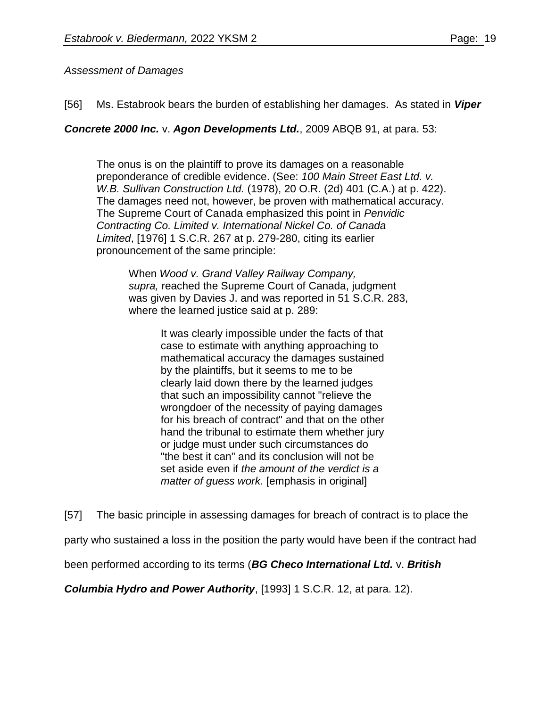## *Assessment of Damages*

[56] Ms. Estabrook bears the burden of establishing her damages. As stated in *Viper* 

*Concrete 2000 Inc.* v. *Agon Developments Ltd.*, 2009 ABQB 91, at para. 53:

The onus is on the plaintiff to prove its damages on a reasonable preponderance of credible evidence. (See: *100 Main Street East Ltd. v. W.B. Sullivan Construction Ltd.* (1978), 20 O.R. (2d) 401 (C.A.) at p. 422). The damages need not, however, be proven with mathematical accuracy. The Supreme Court of Canada emphasized this point in *Penvidic Contracting Co. Limited v. International Nickel Co. of Canada Limited*, [1976] 1 S.C.R. 267 at p. 279-280, citing its earlier pronouncement of the same principle:

When *Wood v. Grand Valley Railway Company, supra,* reached the Supreme Court of Canada, judgment was given by Davies J. and was reported in 51 S.C.R. 283, where the learned justice said at p. 289:

> It was clearly impossible under the facts of that case to estimate with anything approaching to mathematical accuracy the damages sustained by the plaintiffs, but it seems to me to be clearly laid down there by the learned judges that such an impossibility cannot "relieve the wrongdoer of the necessity of paying damages for his breach of contract" and that on the other hand the tribunal to estimate them whether jury or judge must under such circumstances do "the best it can" and its conclusion will not be set aside even if *the amount of the verdict is a matter of guess work.* [emphasis in original]

[57] The basic principle in assessing damages for breach of contract is to place the

party who sustained a loss in the position the party would have been if the contract had

been performed according to its terms (*BG Checo International Ltd.* v. *British* 

*Columbia Hydro and Power Authority*, [1993] 1 S.C.R. 12, at para. 12).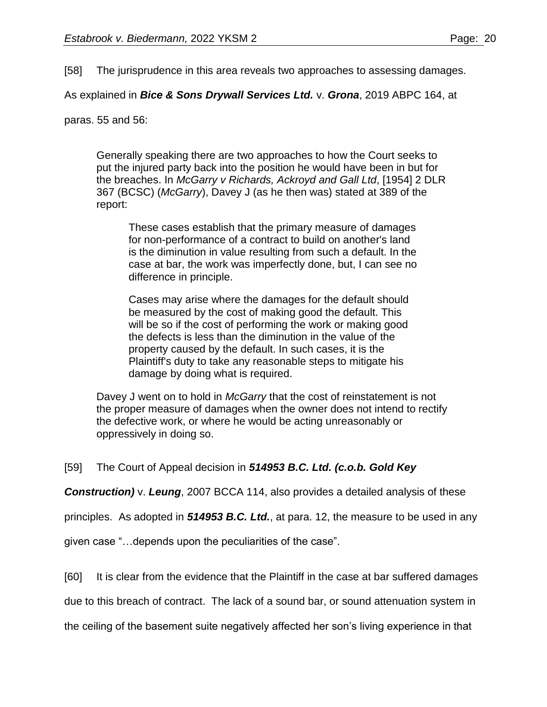[58] The jurisprudence in this area reveals two approaches to assessing damages.

As explained in *Bice & Sons Drywall Services Ltd.* v. *Grona*, 2019 ABPC 164, at

paras. 55 and 56:

Generally speaking there are two approaches to how the Court seeks to put the injured party back into the position he would have been in but for the breaches. In *McGarry v Richards, Ackroyd and Gall Ltd*, [\[1954\]](https://advance.lexis.com/document/documentlink/?pdmfid=1505209&crid=bb63d39a-e997-45c8-a778-18072da677b2&pddocfullpath=%2Fshared%2Fdocument%2Fcases-ca%2Furn%3AcontentItem%3A5WJ6-J421-JPP5-2015-00000-00&pdpinpoint=PARA_61_650001&pdcontentcomponentid=281027&pddoctitle=Locus+Para+61&pdproductcontenttypeid=urn%3Apct%3A221&pdiskwicview=false&ecomp=43x8k&prid=28c5b7c9-ffaf-49f3-b973-7dae8599cfc0) 2 DLR [367](https://advance.lexis.com/document/documentlink/?pdmfid=1505209&crid=bb63d39a-e997-45c8-a778-18072da677b2&pddocfullpath=%2Fshared%2Fdocument%2Fcases-ca%2Furn%3AcontentItem%3A5WJ6-J421-JPP5-2015-00000-00&pdpinpoint=PARA_61_650001&pdcontentcomponentid=281027&pddoctitle=Locus+Para+61&pdproductcontenttypeid=urn%3Apct%3A221&pdiskwicview=false&ecomp=43x8k&prid=28c5b7c9-ffaf-49f3-b973-7dae8599cfc0) (BCSC) (*McGarry*), Davey J (as he then was) stated at 389 of the report:

These cases establish that the primary measure of damages for non-performance of a contract to build on another's land is the diminution in value resulting from such a default. In the case at bar, the work was imperfectly done, but, I can see no difference in principle.

Cases may arise where the damages for the default should be measured by the cost of making good the default. This will be so if the cost of performing the work or making good the defects is less than the diminution in the value of the property caused by the default. In such cases, it is the Plaintiff's duty to take any reasonable steps to mitigate his damage by doing what is required.

Davey J went on to hold in *McGarry* that the cost of reinstatement is not the proper measure of damages when the owner does not intend to rectify the defective work, or where he would be acting unreasonably or oppressively in doing so.

## [59] The Court of Appeal decision in *514953 B.C. Ltd. (c.o.b. Gold Key*

*Construction)* v. *Leung*, 2007 BCCA 114, also provides a detailed analysis of these

principles. As adopted in *514953 B.C. Ltd.*, at para. 12, the measure to be used in any

given case "…depends upon the peculiarities of the case".

[60] It is clear from the evidence that the Plaintiff in the case at bar suffered damages

due to this breach of contract. The lack of a sound bar, or sound attenuation system in

the ceiling of the basement suite negatively affected her son's living experience in that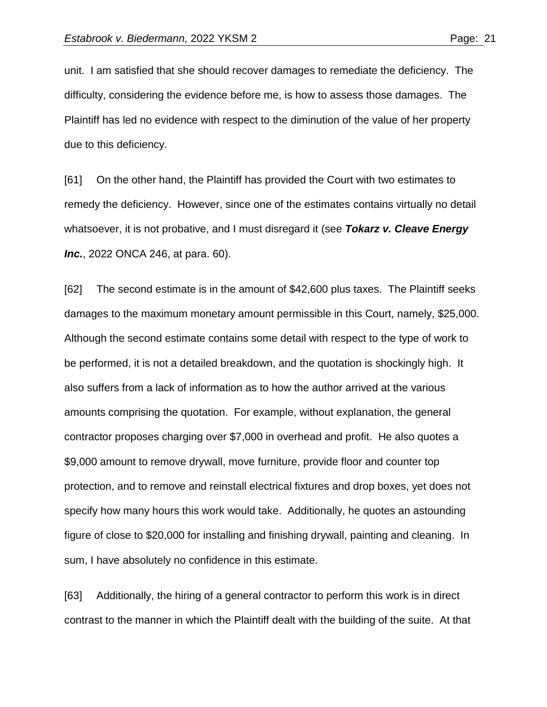unit. I am satisfied that she should recover damages to remediate the deficiency. The difficulty, considering the evidence before me, is how to assess those damages. The Plaintiff has led no evidence with respect to the diminution of the value of her property due to this deficiency.

[61] On the other hand, the Plaintiff has provided the Court with two estimates to remedy the deficiency. However, since one of the estimates contains virtually no detail whatsoever, it is not probative, and I must disregard it (see *Tokarz v. Cleave Energy Inc.*, 2022 ONCA 246, at para. 60).

[62] The second estimate is in the amount of \$42,600 plus taxes. The Plaintiff seeks damages to the maximum monetary amount permissible in this Court, namely, \$25,000. Although the second estimate contains some detail with respect to the type of work to be performed, it is not a detailed breakdown, and the quotation is shockingly high. It also suffers from a lack of information as to how the author arrived at the various amounts comprising the quotation. For example, without explanation, the general contractor proposes charging over \$7,000 in overhead and profit. He also quotes a \$9,000 amount to remove drywall, move furniture, provide floor and counter top protection, and to remove and reinstall electrical fixtures and drop boxes, yet does not specify how many hours this work would take. Additionally, he quotes an astounding figure of close to \$20,000 for installing and finishing drywall, painting and cleaning. In sum, I have absolutely no confidence in this estimate.

[63] Additionally, the hiring of a general contractor to perform this work is in direct contrast to the manner in which the Plaintiff dealt with the building of the suite. At that